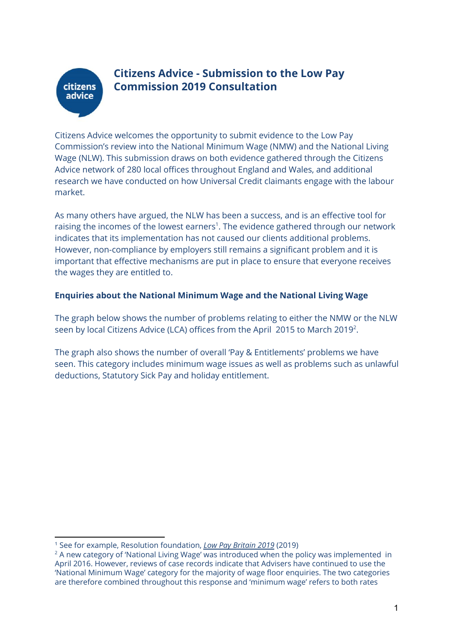# **citizens** advice

## **Citizens Advice - Submission to the Low Pay Commission 2019 Consultation**

Citizens Advice welcomes the opportunity to submit evidence to the Low Pay Commission's review into the National Minimum Wage (NMW) and the National Living Wage (NLW). This submission draws on both evidence gathered through the Citizens Advice network of 280 local offices throughout England and Wales, and additional research we have conducted on how Universal Credit claimants engage with the labour market.

As many others have argued, the NLW has been a success, and is an effective tool for raising the incomes of the lowest earners<sup>1</sup>. The evidence gathered through our network indicates that its implementation has not caused our clients additional problems. However, non-compliance by employers still remains a significant problem and it is important that effective mechanisms are put in place to ensure that everyone receives the wages they are entitled to.

#### **Enquiries about the National Minimum Wage and the National Living Wage**

The graph below shows the number of problems relating to either the NMW or the NLW seen by local Citizens Advice (LCA) offices from the April  $\,$  2015 to March 2019 $^2$ .

The graph also shows the number of overall 'Pay & Entitlements' problems we have seen. This category includes minimum wage issues as well as problems such as unlawful deductions, Statutory Sick Pay and holiday entitlement.

<sup>1</sup> See for example, Resolution foundation, *Low Pay [Britain](https://www.resolutionfoundation.org/publications/low-pay-britain-2019/) 2019* (2019)

 $2$  A new category of 'National Living Wage' was introduced when the policy was implemented in April 2016. However, reviews of case records indicate that Advisers have continued to use the 'National Minimum Wage' category for the majority of wage floor enquiries. The two categories are therefore combined throughout this response and 'minimum wage' refers to both rates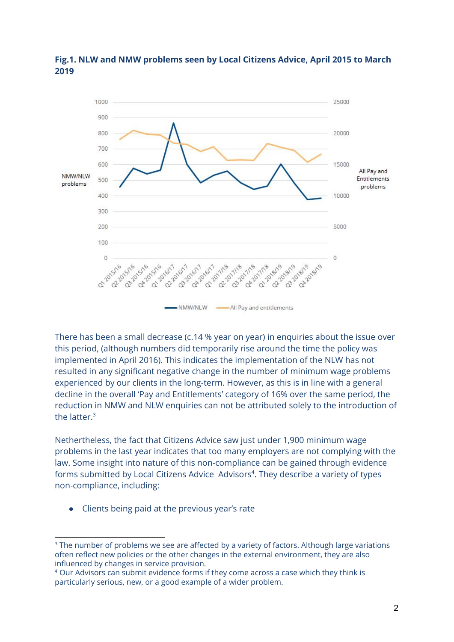

### **Fig.1. NLW and NMW problems seen by Local Citizens Advice, April 2015 to March 2019**

There has been a small decrease (c.14 % year on year) in enquiries about the issue over this period, (although numbers did temporarily rise around the time the policy was implemented in April 2016). This indicates the implementation of the NLW has not resulted in any significant negative change in the number of minimum wage problems experienced by our clients in the long-term. However, as this is in line with a general decline in the overall 'Pay and Entitlements' category of 16% over the same period, the reduction in NMW and NLW enquiries can not be attributed solely to the introduction of the latter. 3

Nethertheless, the fact that Citizens Advice saw just under 1,900 minimum wage problems in the last year indicates that too many employers are not complying with the law. Some insight into nature of this non-compliance can be gained through evidence forms submitted by Local Citizens Advice Advisors<sup>4</sup>. They describe a variety of types non-compliance, including:

Clients being paid at the previous year's rate

<sup>&</sup>lt;sup>3</sup> The number of problems we see are affected by a variety of factors. Although large variations often reflect new policies or the other changes in the external environment, they are also influenced by changes in service provision.

<sup>4</sup> Our Advisors can submit evidence forms if they come across a case which they think is particularly serious, new, or a good example of a wider problem.